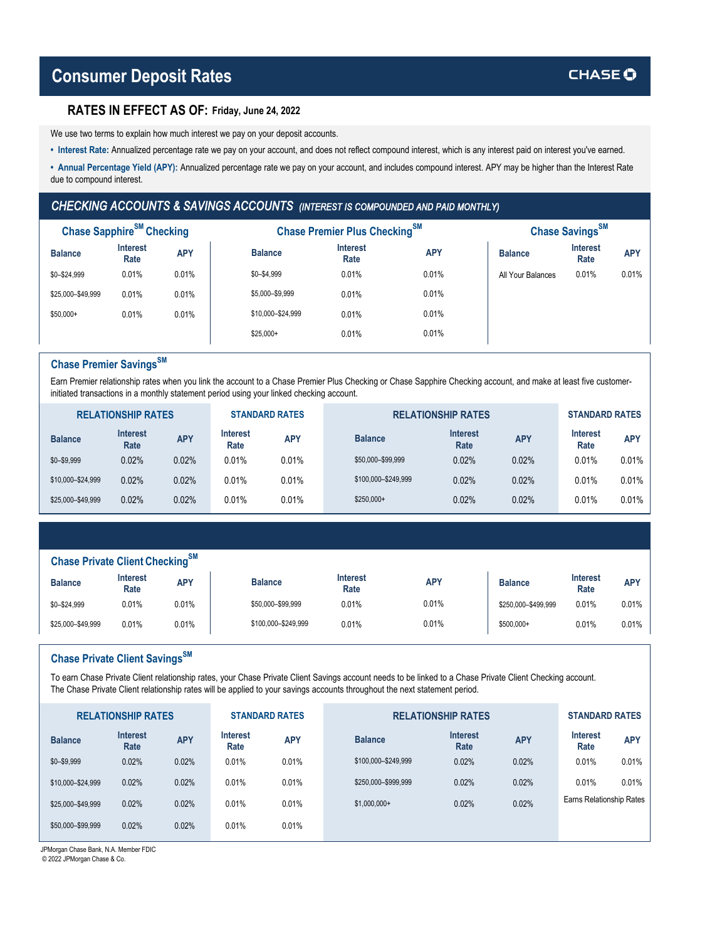#### **RATES IN EFFECT AS OF: Friday, June 24, 2022**

We use two terms to explain how much interest we pay on your deposit accounts.

- **Interest Rate:** Annualized percentage rate we pay on your account, and does not reflect compound interest, which is any interest paid on interest you've earned.
- **Annual Percentage Yield (APY):** Annualized percentage rate we pay on your account, and includes compound interest. APY may be higher than the Interest Rate due to compound interest.

### *CHECKING ACCOUNTS & SAVINGS ACCOUNTS (INTEREST IS COMPOUNDED AND PAID MONTHLY)*

| Chase Sapphire <sup>SM</sup> Checking |                         |            |                   | Chase Premier Plus Checking <sup>SM</sup> |            | Chase Savings <sup>SM</sup> |                         |            |  |
|---------------------------------------|-------------------------|------------|-------------------|-------------------------------------------|------------|-----------------------------|-------------------------|------------|--|
| <b>Balance</b>                        | <b>Interest</b><br>Rate | <b>APY</b> | <b>Balance</b>    | <b>Interest</b><br>Rate                   | <b>APY</b> | <b>Balance</b>              | <b>Interest</b><br>Rate | <b>APY</b> |  |
| $$0 - $24,999$                        | 0.01%                   | 0.01%      | $$0 - $4,999$     | 0.01%                                     | 0.01%      | All Your Balances           | 0.01%                   | 0.01%      |  |
| \$25,000-\$49,999                     | 0.01%                   | 0.01%      | \$5,000-\$9,999   | 0.01%                                     | 0.01%      |                             |                         |            |  |
| $$50,000+$                            | 0.01%                   | 0.01%      | \$10,000-\$24,999 | 0.01%                                     | 0.01%      |                             |                         |            |  |
|                                       |                         |            | $$25,000+$        | 0.01%                                     | 0.01%      |                             |                         |            |  |

## **Chase Premier SavingsSM**

Earn Premier relationship rates when you link the account to a Chase Premier Plus Checking or Chase Sapphire Checking account, and make at least five customerinitiated transactions in a monthly statement period using your linked checking account.

| <b>RELATIONSHIP RATES</b> |                         |            | <b>STANDARD RATES</b>   |            | <b>RELATIONSHIP RATES</b> | <b>STANDARD RATES</b>   |            |                         |            |
|---------------------------|-------------------------|------------|-------------------------|------------|---------------------------|-------------------------|------------|-------------------------|------------|
| <b>Balance</b>            | <b>Interest</b><br>Rate | <b>APY</b> | <b>Interest</b><br>Rate | <b>APY</b> | <b>Balance</b>            | <b>Interest</b><br>Rate | <b>APY</b> | <b>Interest</b><br>Rate | <b>APY</b> |
| $$0 - $9,999$             | 0.02%                   | 0.02%      | 0.01%                   | 0.01%      | \$50,000-\$99,999         | 0.02%                   | 0.02%      | 0.01%                   | 0.01%      |
| \$10,000-\$24,999         | 0.02%                   | 0.02%      | 0.01%                   | 0.01%      | \$100,000-\$249,999       | 0.02%                   | 0.02%      | 0.01%                   | 0.01%      |
| \$25,000-\$49,999         | 0.02%                   | 0.02%      | 0.01%                   | 0.01%      | $$250,000+$               | 0.02%                   | 0.02%      | 0.01%                   | 0.01%      |

|  |  |  | Chase Private Client Checking <sup>SM</sup> |  |
|--|--|--|---------------------------------------------|--|
|--|--|--|---------------------------------------------|--|

| <b>Balance</b>    | Interest<br>Rate | <b>APY</b> | <b>Balance</b>      | <b>Interest</b><br>Rate | <b>APY</b> | <b>Balance</b>      | <b>Interest</b><br>Rate | APY   |
|-------------------|------------------|------------|---------------------|-------------------------|------------|---------------------|-------------------------|-------|
| \$0-\$24,999      | 0.01%            | 0.01%      | \$50,000-\$99,999   | 0.01%                   | 0.01%      | \$250,000-\$499,999 | 0.01%                   | 0.01% |
| \$25,000-\$49,999 | 0.01%            | 0.01%      | \$100,000-\$249,999 | 0.01%                   | 0.01%      | \$500,000+          | 0.01%                   | 0.01% |

# **Chase Private Client SavingsSM**

To earn Chase Private Client relationship rates, your Chase Private Client Savings account needs to be linked to a Chase Private Client Checking account. The Chase Private Client relationship rates will be applied to your savings accounts throughout the next statement period.

| <b>RELATIONSHIP RATES</b> |            |                         |            |                       | <b>STANDARD RATES</b>   |                           |                          |            |
|---------------------------|------------|-------------------------|------------|-----------------------|-------------------------|---------------------------|--------------------------|------------|
| <b>Interest</b><br>Rate   | <b>APY</b> | <b>Interest</b><br>Rate | <b>APY</b> | <b>Balance</b>        | <b>Interest</b><br>Rate | <b>APY</b>                | <b>Interest</b><br>Rate  | <b>APY</b> |
| 0.02%                     | 0.02%      | 0.01%                   | 0.01%      | \$100,000-\$249,999   | 0.02%                   | 0.02%                     | 0.01%                    | 0.01%      |
| 0.02%                     | 0.02%      | 0.01%                   | 0.01%      | \$250,000-\$999,999   | 0.02%                   | 0.02%                     | 0.01%                    | 0.01%      |
| 0.02%                     | 0.02%      | 0.01%                   | 0.01%      | $$1,000,000+$         | 0.02%                   | 0.02%                     | Earns Relationship Rates |            |
| 0.02%                     | 0.02%      | 0.01%                   | 0.01%      |                       |                         |                           |                          |            |
|                           |            |                         |            | <b>STANDARD RATES</b> |                         | <b>RELATIONSHIP RATES</b> |                          |            |

JPMorgan Chase Bank, N.A. Member FDIC

© 2022 JPMorgan Chase & Co.